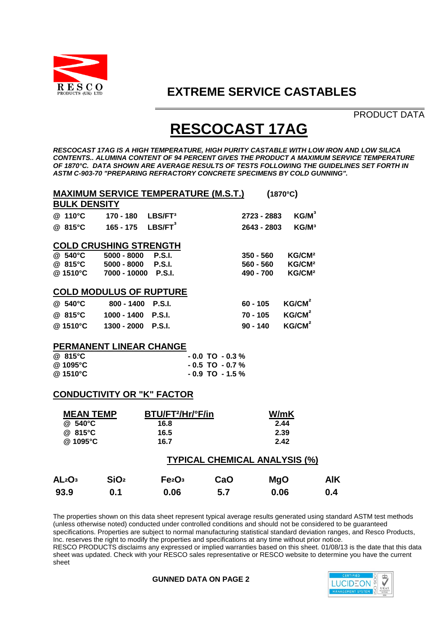

### **EXTREME SERVICE CASTABLES**

 PRODUCT DATA

# **RESCOCAST 17AG**

*RESCOCAST 17AG IS A HIGH TEMPERATURE, HIGH PURITY CASTABLE WITH LOW IRON AND LOW SILICA CONTENTS.. ALUMINA CONTENT OF 94 PERCENT GIVES THE PRODUCT A MAXIMUM SERVICE TEMPERATURE OF 1870°C. DATA SHOWN ARE AVERAGE RESULTS OF TESTS FOLLOWING THE GUIDELINES SET FORTH IN ASTM C-903-70 "PREPARING REFRACTORY CONCRETE SPECIMENS BY COLD GUNNING".*

|                                      |                               |                               | <u> MAXIMUM SERVICE TEMPERATURE (M.S.T.)</u> |              | $(1870^{\circ}C)$  |  |  |  |
|--------------------------------------|-------------------------------|-------------------------------|----------------------------------------------|--------------|--------------------|--|--|--|
| <b>BULK DENSITY</b>                  |                               |                               |                                              |              |                    |  |  |  |
| @ 110°C                              | 170 - 180                     | LBS/FT <sup>3</sup>           |                                              | 2723 - 2883  | $KG/M^3$           |  |  |  |
| @ 815°C                              | $165 - 175$                   | LBS/FT <sup>3</sup>           |                                              | 2643 - 2803  | KG/M <sup>3</sup>  |  |  |  |
|                                      |                               |                               |                                              |              |                    |  |  |  |
|                                      | <b>COLD CRUSHING STRENGTH</b> |                               |                                              |              |                    |  |  |  |
| @ 540°C                              | $5000 - 8000$                 | <b>P.S.I.</b>                 |                                              | $350 - 560$  | KG/CM <sup>2</sup> |  |  |  |
| @ 815°C                              | 5000 - 8000                   | <b>P.S.I.</b>                 |                                              | $560 - 560$  | KG/CM <sup>2</sup> |  |  |  |
| @ 1510°C                             | 7000 - 10000                  | <b>P.S.I.</b>                 |                                              | 490 - 700    | KG/CM <sup>2</sup> |  |  |  |
| <b>COLD MODULUS OF RUPTURE</b>       |                               |                               |                                              |              |                    |  |  |  |
| @ 540°C                              | $800 - 1400$                  | P.S.I.                        |                                              | $60 - 105$   | KG/CM <sup>2</sup> |  |  |  |
| @ 815°C                              | 1000 - 1400 P.S.I.            |                               |                                              | 70 - 105     | KG/CM <sup>2</sup> |  |  |  |
| @1510°C                              | 1300 - 2000                   | <b>P.S.I.</b>                 |                                              | $90 - 140$   | KG/CM <sup>2</sup> |  |  |  |
| <b>PERMANENT LINEAR CHANGE</b>       |                               |                               |                                              |              |                    |  |  |  |
| @ 815°C                              |                               |                               | $-0.0$ TO $-0.3\%$                           |              |                    |  |  |  |
| @1095°C                              |                               |                               | $-0.5$ TO $-0.7$ %                           |              |                    |  |  |  |
| @ 1510°C                             |                               |                               | $-0.9$ TO $-1.5\%$                           |              |                    |  |  |  |
|                                      |                               |                               |                                              |              |                    |  |  |  |
| <b>CONDUCTIVITY OR "K" FACTOR</b>    |                               |                               |                                              |              |                    |  |  |  |
| <b>MEAN TEMP</b>                     |                               | BTU/FT <sup>2</sup> /Hr/°F/in |                                              | W/mK         |                    |  |  |  |
| @ 540°C                              |                               |                               |                                              |              | 2.44               |  |  |  |
|                                      |                               | 16.8                          |                                              |              |                    |  |  |  |
| @ 815°C                              |                               | 16.5                          |                                              | 2.39<br>2.42 |                    |  |  |  |
| @1095°C                              |                               | 16.7                          |                                              |              |                    |  |  |  |
| <b>TYPICAL CHEMICAL ANALYSIS (%)</b> |                               |                               |                                              |              |                    |  |  |  |
|                                      |                               |                               |                                              |              |                    |  |  |  |

| AL <sub>2</sub> O <sub>3</sub> | SiO <sub>2</sub> | Fe <sub>2</sub> O <sub>3</sub> | CaO | <b>MgO</b> | <b>AIK</b> |
|--------------------------------|------------------|--------------------------------|-----|------------|------------|
| 93.9                           | 0.1              | 0.06                           | 5.7 | 0.06       | 0.4        |

The properties shown on this data sheet represent typical average results generated using standard ASTM test methods (unless otherwise noted) conducted under controlled conditions and should not be considered to be guaranteed specifications. Properties are subject to normal manufacturing statistical standard deviation ranges, and Resco Products, Inc. reserves the right to modify the properties and specifications at any time without prior notice. RESCO PRODUCTS disclaims any expressed or implied warranties based on this sheet. 01/08/13 is the date that this data sheet was updated. Check with your RESCO sales representative or RESCO website to determine you have the current sheet

#### **GUNNED DATA ON PAGE 2**